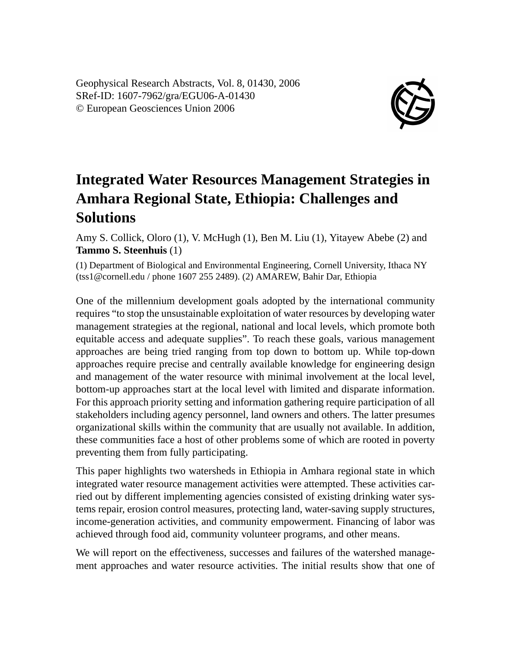Geophysical Research Abstracts, Vol. 8, 01430, 2006 SRef-ID: 1607-7962/gra/EGU06-A-01430 © European Geosciences Union 2006



## **Integrated Water Resources Management Strategies in Amhara Regional State, Ethiopia: Challenges and Solutions**

Amy S. Collick, Oloro (1), V. McHugh (1), Ben M. Liu (1), Yitayew Abebe (2) and **Tammo S. Steenhuis** (1)

(1) Department of Biological and Environmental Engineering, Cornell University, Ithaca NY (tss1@cornell.edu / phone 1607 255 2489). (2) AMAREW, Bahir Dar, Ethiopia

One of the millennium development goals adopted by the international community requires "to stop the unsustainable exploitation of water resources by developing water management strategies at the regional, national and local levels, which promote both equitable access and adequate supplies". To reach these goals, various management approaches are being tried ranging from top down to bottom up. While top-down approaches require precise and centrally available knowledge for engineering design and management of the water resource with minimal involvement at the local level, bottom-up approaches start at the local level with limited and disparate information. For this approach priority setting and information gathering require participation of all stakeholders including agency personnel, land owners and others. The latter presumes organizational skills within the community that are usually not available. In addition, these communities face a host of other problems some of which are rooted in poverty preventing them from fully participating.

This paper highlights two watersheds in Ethiopia in Amhara regional state in which integrated water resource management activities were attempted. These activities carried out by different implementing agencies consisted of existing drinking water systems repair, erosion control measures, protecting land, water-saving supply structures, income-generation activities, and community empowerment. Financing of labor was achieved through food aid, community volunteer programs, and other means.

We will report on the effectiveness, successes and failures of the watershed management approaches and water resource activities. The initial results show that one of